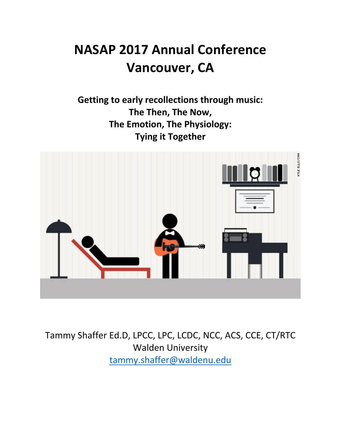## **NASAP 2017 Annual Conference Vancouver, CA**

**Getting to early recollections through music:** The Then, The Now, **The Emotion, The Physiology: Tying it Together** 



Tammy Shaffer Ed.D, LPCC, LPC, LCDC, NCC, ACS, CCE, CT/RTC Walden University tammy.shaffer@waldenu.edu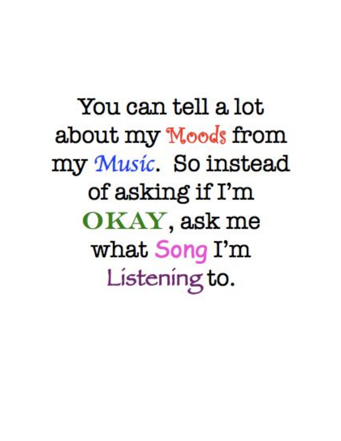You can tell a lot about my Moods from my Music. So instead of asking if I'm OKAY, ask me what Song I'm Listening to.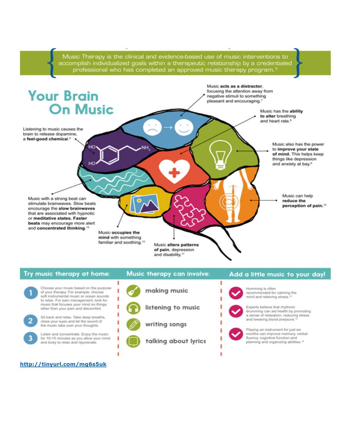

#### Try music therapy at home: Music therapy can involve: Add a little music to your day! ٠ ı Choose your music based on the purpose Humming is often making music ١ ı of your therapy. For example, choose recommended for calming the



#### http://tinyurl.com/mg6s5uk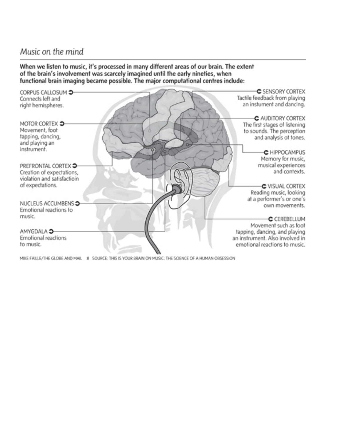### Music on the mind

When we listen to music, it's processed in many different areas of our brain. The extent of the brain's involvement was scarcely imagined until the early nineties, when functional brain imaging became possible. The major computational centres include:



MIKE FAILLE/THE GLOBE AND MAIL 30 SOURCE: THIS IS YOUR BRAIN ON MUSIC: THE SCIENCE OF A HUMAN OBSESSION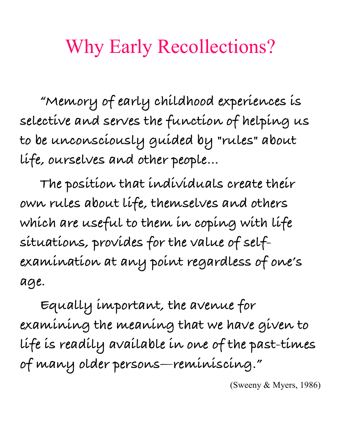# Why Early Recollections?

**"Memory of early childhood experiences is selective and serves the function of helping us to be unconsciously guided by "rules" about life, ourselves and other people…**

**The position that individuals create their own rules about life, themselves and others which are useful to them in coping with life situations, provides for the value of selfexamination at any point regardless of one's age.** 

**Equally important, the avenue for examining the meaning that we have given to life is readily available in one of the past-times of many older persons—reminiscing."**

(Sweeny & Myers, 1986)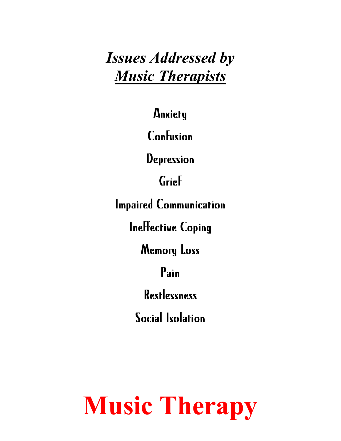*Issues Addressed by Music Therapists*

Anxiety

Confusion

**Depression** 

Grief

Impaired Communication

Ineffective Coping

Memory Loss

Pain

Restlessness

Social Isolation

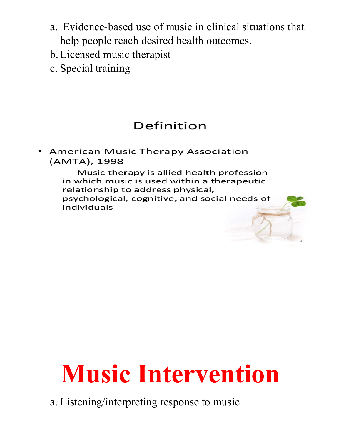- a. Evidence-based use of music in clinical situations that help people reach desired health outcomes.
- b.Licensed music therapist
- c. Special training

### Definition

**American Music Therapy Association** (AMTA), 1998

> Music therapy is allied health profession in which music is used within a therapeutic relationship to address physical, psychological, cognitive, and social needs of individuals

# **Music Intervention**

a. Listening/interpreting response to music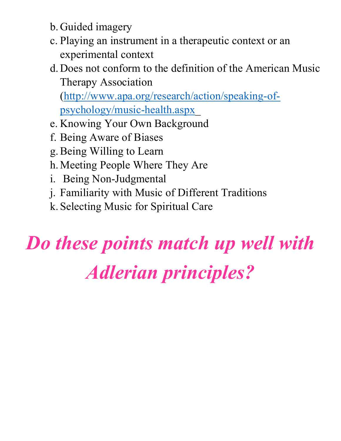- b. Guided imagery
- c. Playing an instrument in a therapeutic context or an experimental context
- d. Does not conform to the definition of the American Music Therapy Association (http://www.apa.org/research/action/speaking-of-

psychology/music-health.aspx\_

- e. Knowing Your Own Background
- f. Being Aware of Biases
- g.Being Willing to Learn
- h. Meeting People Where They Are
- i. Being Non-Judgmental
- j. Familiarity with Music of Different Traditions
- k. Selecting Music for Spiritual Care

# *Do these points match up well with Adlerian principles?*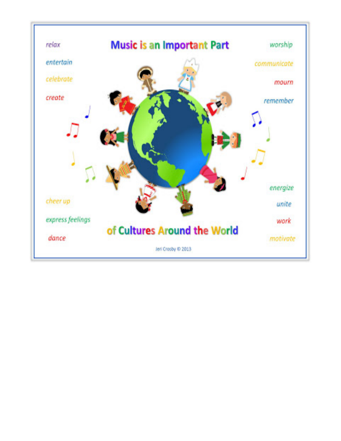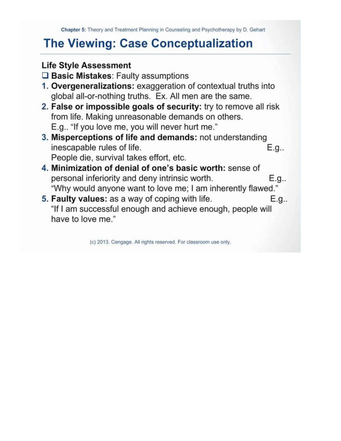### **The Viewing: Case Conceptualization**

### **Life Style Assessment**

 $\square$  Basic Mistakes: Faulty assumptions

- 1. Overgeneralizations: exaggeration of contextual truths into global all-or-nothing truths. Ex. All men are the same.
- 2. False or impossible goals of security: try to remove all risk from life. Making unreasonable demands on others. E.g.. "If you love me, you will never hurt me."
- 3. Misperceptions of life and demands: not understanding inescapable rules of life.  $E.g.,$ People die, survival takes effort, etc.
- 4. Minimization of denial of one's basic worth: sense of personal inferiority and deny intrinsic worth. E.g.. "Why would anyone want to love me; I am inherently flawed."
- 5. Faulty values: as a way of coping with life. E.g.. "If I am successful enough and achieve enough, people will have to love me."

(c) 2013. Cengage. All rights reserved. For classroom use only.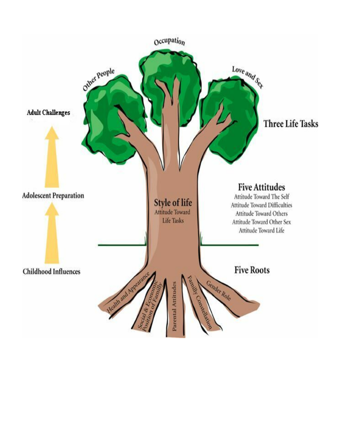